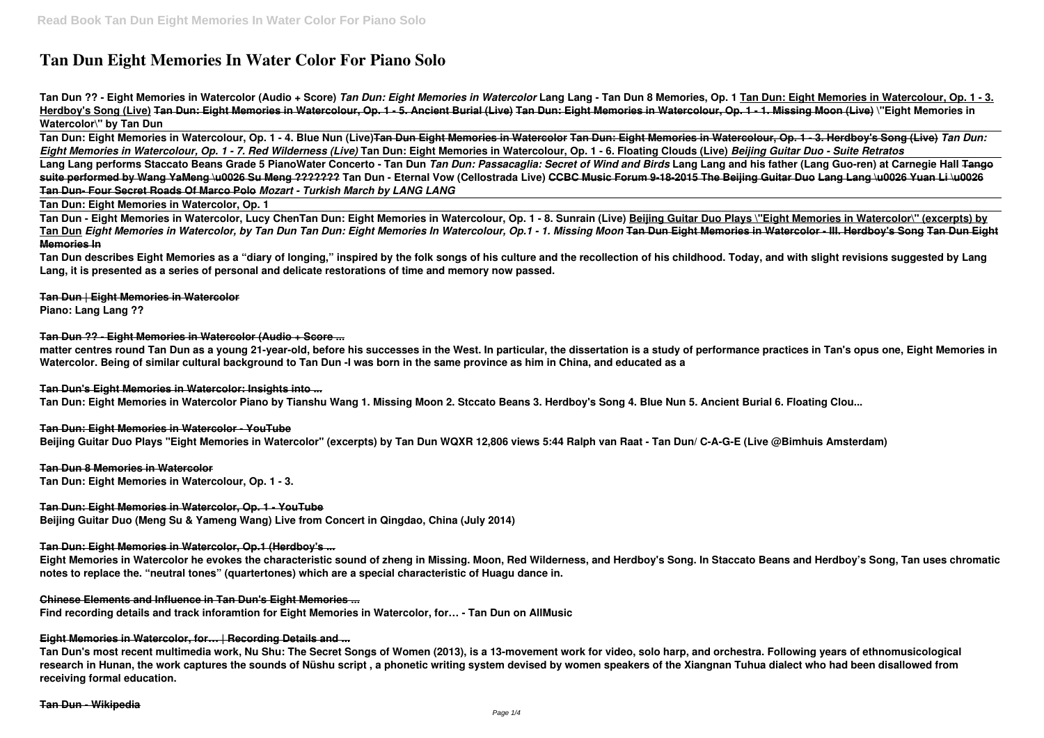# **Tan Dun Eight Memories In Water Color For Piano Solo**

**Tan Dun ?? - Eight Memories in Watercolor (Audio + Score)** *Tan Dun: Eight Memories in Watercolor* **Lang Lang - Tan Dun 8 Memories, Op. 1 Tan Dun: Eight Memories in Watercolour, Op. 1 - 3. Herdboy's Song (Live) Tan Dun: Eight Memories in Watercolour, Op. 1 - 5. Ancient Burial (Live) Tan Dun: Eight Memories in Watercolour, Op. 1 - 1. Missing Moon (Live) \"Eight Memories in Watercolor\" by Tan Dun** 

**Tan Dun: Eight Memories in Watercolour, Op. 1 - 4. Blue Nun (Live)Tan Dun Eight Memories in Watercolor Tan Dun: Eight Memories in Watercolour, Op. 1 - 3. Herdboy's Song (Live)** *Tan Dun: Eight Memories in Watercolour, Op. 1 - 7. Red Wilderness (Live)* **Tan Dun: Eight Memories in Watercolour, Op. 1 - 6. Floating Clouds (Live)** *Beijing Guitar Duo - Suite Retratos* **Lang Lang performs Staccato Beans Grade 5 PianoWater Concerto - Tan Dun** *Tan Dun: Passacaglia: Secret of Wind and Birds* **Lang Lang and his father (Lang Guo-ren) at Carnegie Hall Tango suite performed by Wang YaMeng \u0026 Su Meng ??????? Tan Dun - Eternal Vow (Cellostrada Live) CCBC Music Forum 9-18-2015 The Beijing Guitar Duo Lang Lang \u0026 Yuan Li \u0026 Tan Dun- Four Secret Roads Of Marco Polo** *Mozart - Turkish March by LANG LANG*

**Tan Dun: Eight Memories in Watercolor, Op. 1**

**Tan Dun - Eight Memories in Watercolor, Lucy ChenTan Dun: Eight Memories in Watercolour, Op. 1 - 8. Sunrain (Live) Beijing Guitar Duo Plays \"Eight Memories in Watercolor\" (excerpts) by Tan Dun** *Eight Memories in Watercolor, by Tan Dun Tan Dun: Eight Memories In Watercolour, Op.1 - 1. Missing Moon* **Tan Dun Eight Memories in Watercolor - III. Herdboy's Song Tan Dun Eight Memories In**

**Tan Dun describes Eight Memories as a "diary of longing," inspired by the folk songs of his culture and the recollection of his childhood. Today, and with slight revisions suggested by Lang Lang, it is presented as a series of personal and delicate restorations of time and memory now passed.**

**Tan Dun | Eight Memories in Watercolor Piano: Lang Lang ??**

**Tan Dun ?? - Eight Memories in Watercolor (Audio + Score ...**

**matter centres round Tan Dun as a young 21-year-old, before his successes in the West. In particular, the dissertation is a study of performance practices in Tan's opus one, Eight Memories in Watercolor. Being of similar cultural background to Tan Dun -I was born in the same province as him in China, and educated as a**

**Tan Dun's Eight Memories in Watercolor: Insights into ...**

**Tan Dun: Eight Memories in Watercolor Piano by Tianshu Wang 1. Missing Moon 2. Stccato Beans 3. Herdboy's Song 4. Blue Nun 5. Ancient Burial 6. Floating Clou...**

**Tan Dun: Eight Memories in Watercolor - YouTube**

**Beijing Guitar Duo Plays "Eight Memories in Watercolor" (excerpts) by Tan Dun WQXR 12,806 views 5:44 Ralph van Raat - Tan Dun/ C-A-G-E (Live @Bimhuis Amsterdam)**

**Tan Dun 8 Memories in Watercolor**

**Tan Dun: Eight Memories in Watercolour, Op. 1 - 3.**

**Tan Dun: Eight Memories in Watercolor, Op. 1 - YouTube**

**Beijing Guitar Duo (Meng Su & Yameng Wang) Live from Concert in Qingdao, China (July 2014)**

**Tan Dun: Eight Memories in Watercolor, Op.1 (Herdboy's ...**

**Eight Memories in Watercolor he evokes the characteristic sound of zheng in Missing. Moon, Red Wilderness, and Herdboy's Song. In Staccato Beans and Herdboy's Song, Tan uses chromatic notes to replace the. "neutral tones" (quartertones) which are a special characteristic of Huagu dance in.**

**Chinese Elements and Influence in Tan Dun's Eight Memories ...**

**Find recording details and track inforamtion for Eight Memories in Watercolor, for… - Tan Dun on AllMusic**

**Eight Memories in Watercolor, for… | Recording Details and ...**

**Tan Dun's most recent multimedia work, Nu Shu: The Secret Songs of Women (2013), is a 13-movement work for video, solo harp, and orchestra. Following years of ethnomusicological research in Hunan, the work captures the sounds of Nüshu script , a phonetic writing system devised by women speakers of the Xiangnan Tuhua dialect who had been disallowed from receiving formal education.**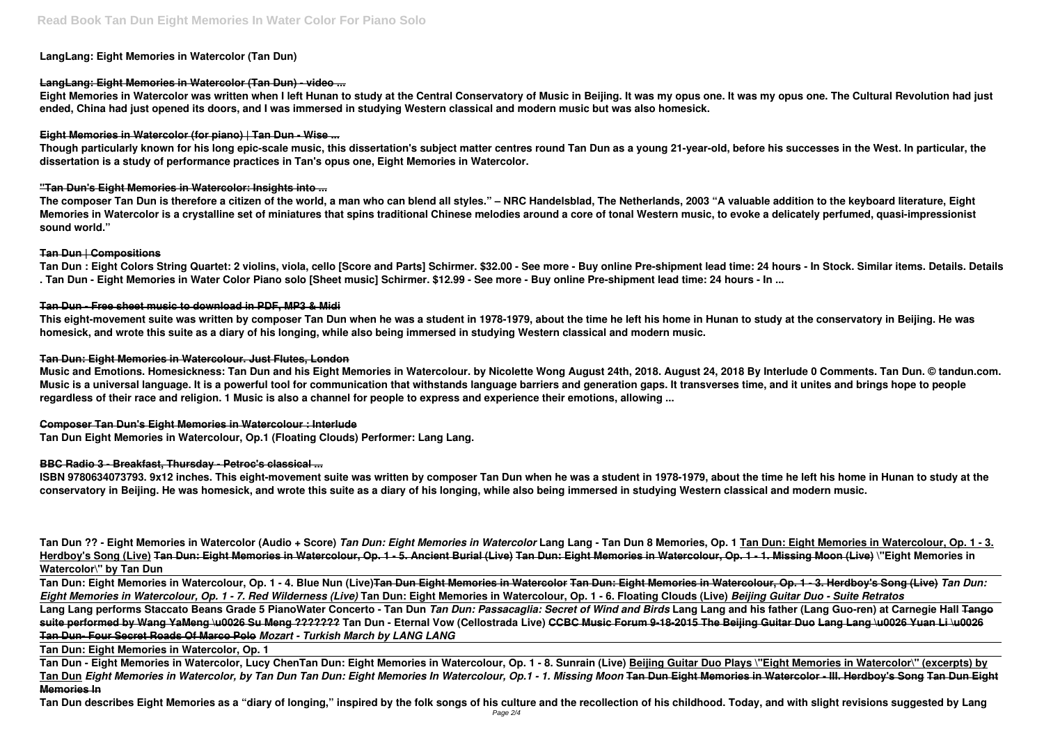# **LangLang: Eight Memories in Watercolor (Tan Dun)**

# **LangLang: Eight Memories in Watercolor (Tan Dun) - video ...**

**Eight Memories in Watercolor was written when I left Hunan to study at the Central Conservatory of Music in Beijing. It was my opus one. It was my opus one. The Cultural Revolution had just ended, China had just opened its doors, and I was immersed in studying Western classical and modern music but was also homesick.**

# **Eight Memories in Watercolor (for piano) | Tan Dun - Wise ...**

**Though particularly known for his long epic-scale music, this dissertation's subject matter centres round Tan Dun as a young 21-year-old, before his successes in the West. In particular, the dissertation is a study of performance practices in Tan's opus one, Eight Memories in Watercolor.**

# **"Tan Dun's Eight Memories in Watercolor: Insights into ...**

**The composer Tan Dun is therefore a citizen of the world, a man who can blend all styles." – NRC Handelsblad, The Netherlands, 2003 "A valuable addition to the keyboard literature, Eight Memories in Watercolor is a crystalline set of miniatures that spins traditional Chinese melodies around a core of tonal Western music, to evoke a delicately perfumed, quasi-impressionist sound world."**

# **Tan Dun | Compositions**

**Tan Dun : Eight Colors String Quartet: 2 violins, viola, cello [Score and Parts] Schirmer. \$32.00 - See more - Buy online Pre-shipment lead time: 24 hours - In Stock. Similar items. Details. Details . Tan Dun - Eight Memories in Water Color Piano solo [Sheet music] Schirmer. \$12.99 - See more - Buy online Pre-shipment lead time: 24 hours - In ...**

# **Tan Dun - Free sheet music to download in PDF, MP3 & Midi**

**This eight-movement suite was written by composer Tan Dun when he was a student in 1978-1979, about the time he left his home in Hunan to study at the conservatory in Beijing. He was homesick, and wrote this suite as a diary of his longing, while also being immersed in studying Western classical and modern music.**

# **Tan Dun: Eight Memories in Watercolour. Just Flutes, London**

**Music and Emotions. Homesickness: Tan Dun and his Eight Memories in Watercolour. by Nicolette Wong August 24th, 2018. August 24, 2018 By Interlude 0 Comments. Tan Dun. © tandun.com. Music is a universal language. It is a powerful tool for communication that withstands language barriers and generation gaps. It transverses time, and it unites and brings hope to people regardless of their race and religion. 1 Music is also a channel for people to express and experience their emotions, allowing ...**

# **Composer Tan Dun's Eight Memories in Watercolour : Interlude**

**Tan Dun Eight Memories in Watercolour, Op.1 (Floating Clouds) Performer: Lang Lang.**

# **BBC Radio 3 - Breakfast, Thursday - Petroc's classical ...**

**ISBN 9780634073793. 9x12 inches. This eight-movement suite was written by composer Tan Dun when he was a student in 1978-1979, about the time he left his home in Hunan to study at the conservatory in Beijing. He was homesick, and wrote this suite as a diary of his longing, while also being immersed in studying Western classical and modern music.**

**Tan Dun ?? - Eight Memories in Watercolor (Audio + Score)** *Tan Dun: Eight Memories in Watercolor* **Lang Lang - Tan Dun 8 Memories, Op. 1 Tan Dun: Eight Memories in Watercolour, Op. 1 - 3. Herdboy's Song (Live) Tan Dun: Eight Memories in Watercolour, Op. 1 - 5. Ancient Burial (Live) Tan Dun: Eight Memories in Watercolour, Op. 1 - 1. Missing Moon (Live) \"Eight Memories in Watercolor\" by Tan Dun** 

**Tan Dun: Eight Memories in Watercolour, Op. 1 - 4. Blue Nun (Live)Tan Dun Eight Memories in Watercolor Tan Dun: Eight Memories in Watercolour, Op. 1 - 3. Herdboy's Song (Live)** *Tan Dun: Eight Memories in Watercolour, Op. 1 - 7. Red Wilderness (Live)* **Tan Dun: Eight Memories in Watercolour, Op. 1 - 6. Floating Clouds (Live)** *Beijing Guitar Duo - Suite Retratos* **Lang Lang performs Staccato Beans Grade 5 PianoWater Concerto - Tan Dun** *Tan Dun: Passacaglia: Secret of Wind and Birds* **Lang Lang and his father (Lang Guo-ren) at Carnegie Hall Tango suite performed by Wang YaMeng \u0026 Su Meng ??????? Tan Dun - Eternal Vow (Cellostrada Live) CCBC Music Forum 9-18-2015 The Beijing Guitar Duo Lang Lang \u0026 Yuan Li \u0026 Tan Dun- Four Secret Roads Of Marco Polo** *Mozart - Turkish March by LANG LANG*

**Tan Dun: Eight Memories in Watercolor, Op. 1**

**Tan Dun - Eight Memories in Watercolor, Lucy ChenTan Dun: Eight Memories in Watercolour, Op. 1 - 8. Sunrain (Live) Beijing Guitar Duo Plays \"Eight Memories in Watercolor\" (excerpts) by Tan Dun** *Eight Memories in Watercolor, by Tan Dun Tan Dun: Eight Memories In Watercolour, Op.1 - 1. Missing Moon* **Tan Dun Eight Memories in Watercolor - III. Herdboy's Song Tan Dun Eight Memories In**

**Tan Dun describes Eight Memories as a "diary of longing," inspired by the folk songs of his culture and the recollection of his childhood. Today, and with slight revisions suggested by Lang**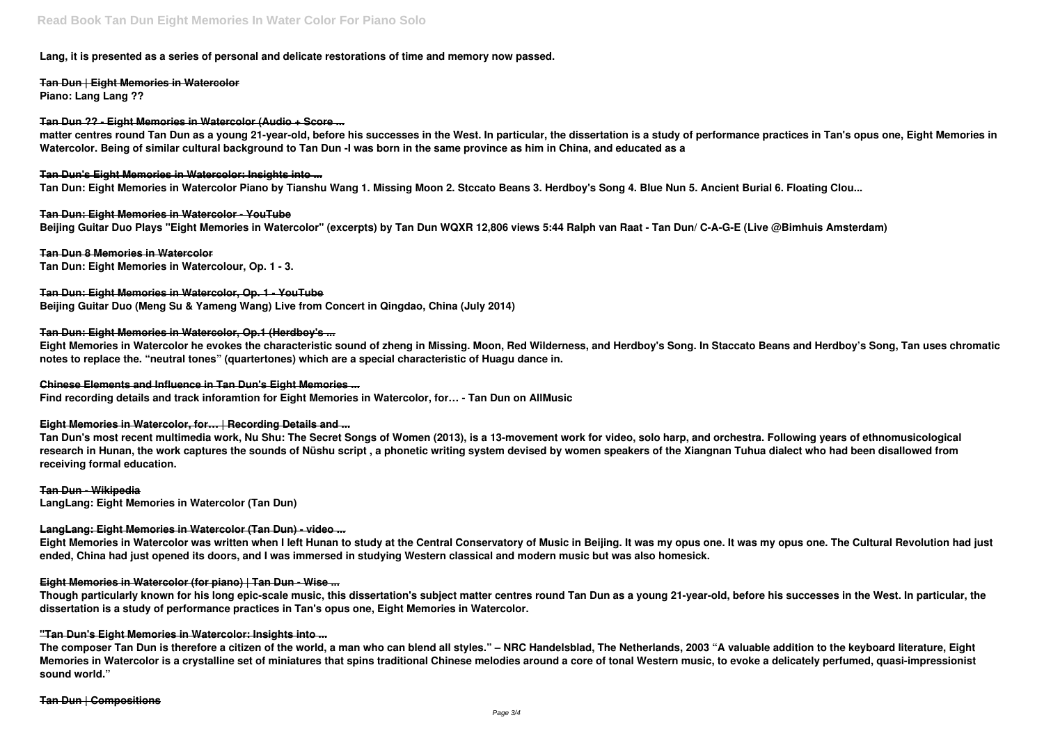### **Lang, it is presented as a series of personal and delicate restorations of time and memory now passed.**

**Tan Dun | Eight Memories in Watercolor Piano: Lang Lang ??**

#### **Tan Dun ?? - Eight Memories in Watercolor (Audio + Score ...**

**matter centres round Tan Dun as a young 21-year-old, before his successes in the West. In particular, the dissertation is a study of performance practices in Tan's opus one, Eight Memories in Watercolor. Being of similar cultural background to Tan Dun -I was born in the same province as him in China, and educated as a**

**Tan Dun's Eight Memories in Watercolor: Insights into ... Tan Dun: Eight Memories in Watercolor Piano by Tianshu Wang 1. Missing Moon 2. Stccato Beans 3. Herdboy's Song 4. Blue Nun 5. Ancient Burial 6. Floating Clou...**

**Tan Dun: Eight Memories in Watercolor - YouTube Beijing Guitar Duo Plays "Eight Memories in Watercolor" (excerpts) by Tan Dun WQXR 12,806 views 5:44 Ralph van Raat - Tan Dun/ C-A-G-E (Live @Bimhuis Amsterdam)**

**Tan Dun 8 Memories in Watercolor Tan Dun: Eight Memories in Watercolour, Op. 1 - 3.**

#### **Tan Dun: Eight Memories in Watercolor, Op. 1 - YouTube**

**Beijing Guitar Duo (Meng Su & Yameng Wang) Live from Concert in Qingdao, China (July 2014)**

#### **Tan Dun: Eight Memories in Watercolor, Op.1 (Herdboy's ...**

**Eight Memories in Watercolor he evokes the characteristic sound of zheng in Missing. Moon, Red Wilderness, and Herdboy's Song. In Staccato Beans and Herdboy's Song, Tan uses chromatic notes to replace the. "neutral tones" (quartertones) which are a special characteristic of Huagu dance in.**

#### **Chinese Elements and Influence in Tan Dun's Eight Memories ...**

**Find recording details and track inforamtion for Eight Memories in Watercolor, for… - Tan Dun on AllMusic**

#### **Eight Memories in Watercolor, for… | Recording Details and ...**

**Tan Dun's most recent multimedia work, Nu Shu: The Secret Songs of Women (2013), is a 13-movement work for video, solo harp, and orchestra. Following years of ethnomusicological research in Hunan, the work captures the sounds of Nüshu script , a phonetic writing system devised by women speakers of the Xiangnan Tuhua dialect who had been disallowed from receiving formal education.**

#### **Tan Dun - Wikipedia**

**LangLang: Eight Memories in Watercolor (Tan Dun)**

#### **LangLang: Eight Memories in Watercolor (Tan Dun) - video ...**

**Eight Memories in Watercolor was written when I left Hunan to study at the Central Conservatory of Music in Beijing. It was my opus one. It was my opus one. The Cultural Revolution had just ended, China had just opened its doors, and I was immersed in studying Western classical and modern music but was also homesick.**

#### **Eight Memories in Watercolor (for piano) | Tan Dun - Wise ...**

**Though particularly known for his long epic-scale music, this dissertation's subject matter centres round Tan Dun as a young 21-year-old, before his successes in the West. In particular, the dissertation is a study of performance practices in Tan's opus one, Eight Memories in Watercolor.**

#### **"Tan Dun's Eight Memories in Watercolor: Insights into ...**

**The composer Tan Dun is therefore a citizen of the world, a man who can blend all styles." – NRC Handelsblad, The Netherlands, 2003 "A valuable addition to the keyboard literature, Eight Memories in Watercolor is a crystalline set of miniatures that spins traditional Chinese melodies around a core of tonal Western music, to evoke a delicately perfumed, quasi-impressionist sound world."**